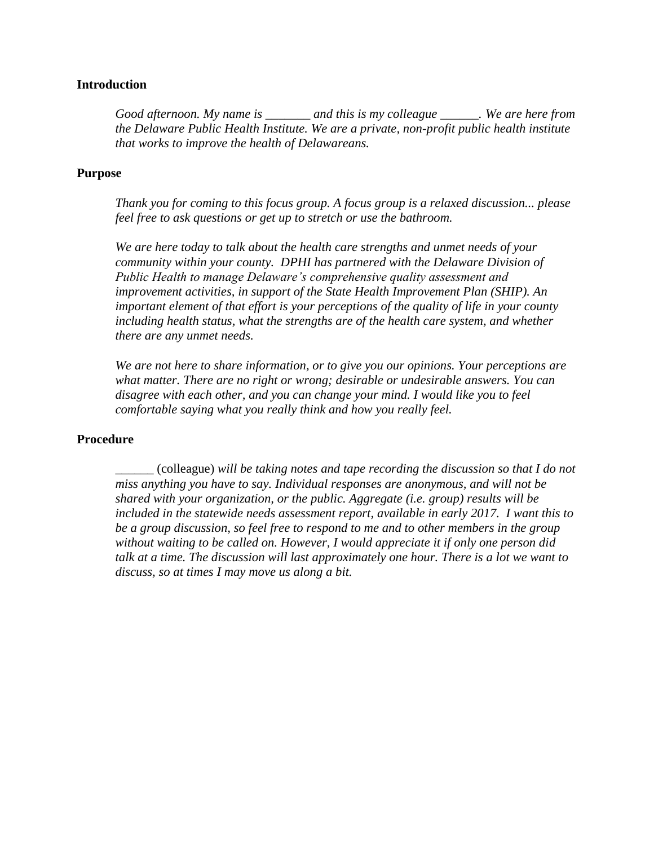## **Introduction**

*Good afternoon. My name is \_\_\_\_\_\_\_ and this is my colleague \_\_\_\_\_\_. We are here from the Delaware Public Health Institute. We are a private, non-profit public health institute that works to improve the health of Delawareans.*

## **Purpose**

*Thank you for coming to this focus group. A focus group is a relaxed discussion... please feel free to ask questions or get up to stretch or use the bathroom.* 

*We are here today to talk about the health care strengths and unmet needs of your community within your county. DPHI has partnered with the Delaware Division of Public Health to manage Delaware's comprehensive quality assessment and improvement activities, in support of the State Health Improvement Plan (SHIP). An important element of that effort is your perceptions of the quality of life in your county including health status, what the strengths are of the health care system, and whether there are any unmet needs.* 

*We are not here to share information, or to give you our opinions. Your perceptions are what matter. There are no right or wrong; desirable or undesirable answers. You can disagree with each other, and you can change your mind. I would like you to feel comfortable saying what you really think and how you really feel.*

## **Procedure**

*\_\_\_\_\_\_* (colleague) *will be taking notes and tape recording the discussion so that I do not miss anything you have to say. Individual responses are anonymous, and will not be shared with your organization, or the public. Aggregate (i.e. group) results will be included in the statewide needs assessment report, available in early 2017. I want this to be a group discussion, so feel free to respond to me and to other members in the group without waiting to be called on. However, I would appreciate it if only one person did talk at a time. The discussion will last approximately one hour. There is a lot we want to discuss, so at times I may move us along a bit.*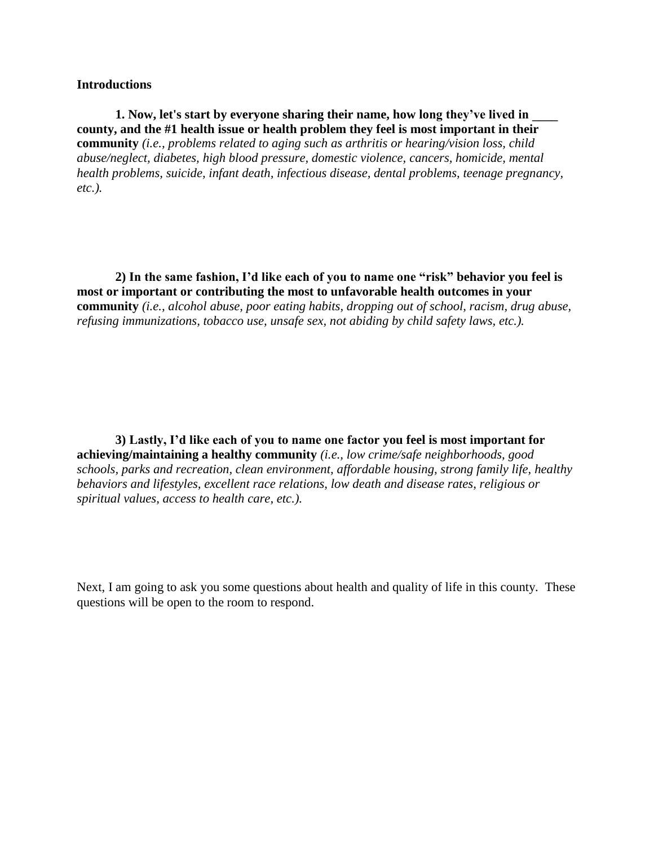#### **Introductions**

**1. Now, let's start by everyone sharing their name, how long they've lived in \_\_\_\_ county, and the #1 health issue or health problem they feel is most important in their community** *(i.e., problems related to aging such as arthritis or hearing/vision loss, child abuse/neglect, diabetes, high blood pressure, domestic violence, cancers, homicide, mental health problems, suicide, infant death, infectious disease, dental problems, teenage pregnancy, etc.).* 

**2) In the same fashion, I'd like each of you to name one "risk" behavior you feel is most or important or contributing the most to unfavorable health outcomes in your community** *(i.e., alcohol abuse, poor eating habits, dropping out of school, racism, drug abuse, refusing immunizations, tobacco use, unsafe sex, not abiding by child safety laws, etc.).* 

**3) Lastly, I'd like each of you to name one factor you feel is most important for achieving/maintaining a healthy community** *(i.e., low crime/safe neighborhoods, good schools, parks and recreation, clean environment, affordable housing, strong family life, healthy behaviors and lifestyles, excellent race relations, low death and disease rates, religious or spiritual values, access to health care, etc.).* 

Next, I am going to ask you some questions about health and quality of life in this county. These questions will be open to the room to respond.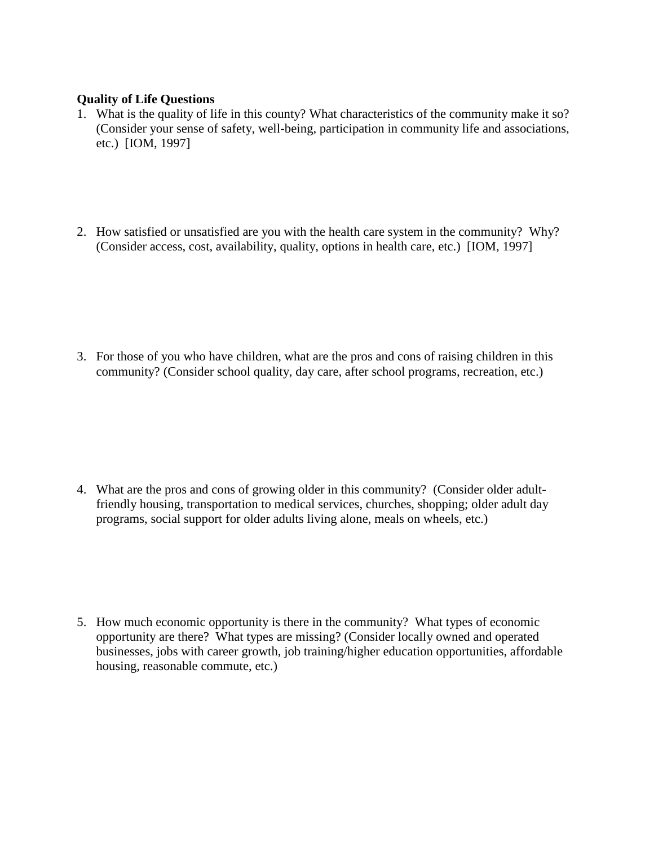# **Quality of Life Questions**

- 1. What is the quality of life in this county? What characteristics of the community make it so? (Consider your sense of safety, well-being, participation in community life and associations, etc.) [IOM, 1997]
- 2. How satisfied or unsatisfied are you with the health care system in the community? Why? (Consider access, cost, availability, quality, options in health care, etc.) [IOM, 1997]

3. For those of you who have children, what are the pros and cons of raising children in this community? (Consider school quality, day care, after school programs, recreation, etc.)

4. What are the pros and cons of growing older in this community? (Consider older adultfriendly housing, transportation to medical services, churches, shopping; older adult day programs, social support for older adults living alone, meals on wheels, etc.)

5. How much economic opportunity is there in the community? What types of economic opportunity are there? What types are missing? (Consider locally owned and operated businesses, jobs with career growth, job training/higher education opportunities, affordable housing, reasonable commute, etc.)